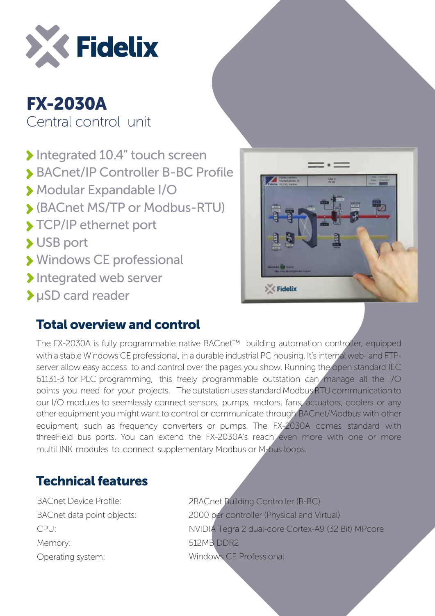

## FX-2030A Central control unit

- Integrated 10.4" touch screen
- BACnet/IP Controller B-BC Profile
- Modular Expandable I/O
- (BACnet MS/TP or Modbus-RTU)
- **> TCP/IP ethernet port**
- USB port
- Windows CE professional
- Integrated web server
- µSD card reader

## Total overview and control



The FX-2030A is fully programmable native BACnet™ building automation controller, equipped with a stable Windows CE professional, in a durable industrial PC housing. It's internal web- and FTPserver allow easy access to and control over the pages you show. Running the open standard IEC 61131-3 for PLC programming, this freely programmable outstation can manage all the I/O points you need for your projects. The outstation uses standard Modbus RTU communication to our I/O modules to seemlessly connect sensors, pumps, motors, fans, actuators, coolers or any other equipment you might want to control or communicate through BACnet/Modbus with other equipment, such as frequency converters or pumps. The FX-2030A comes standard with threeField bus ports. You can extend the FX-2030A's reach even more with one or more multiLINK modules to connect supplementary Modbus or M-bus loops.

## Technical features

BACnet Device Profile: BACnet data point objects: CPU: Memory: Operating system:

2BACnet Building Controller (B-BC) 2000 per controller (Physical and Virtual) NVIDIA Tegra 2 dual-core Cortex-A9 (32 Bit) MPcore 512MB DDR2 Windows CE Professional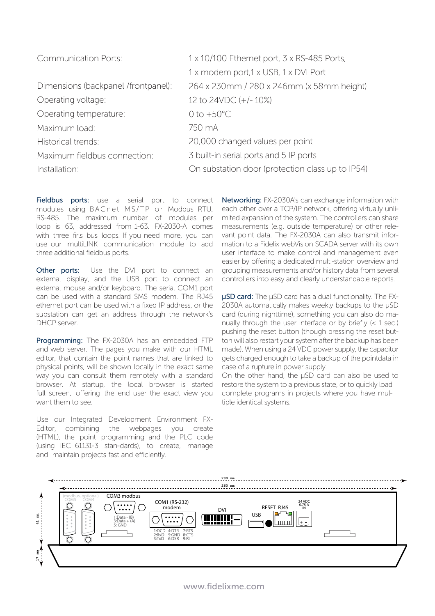| <b>Communication Ports:</b>         | $1 \times 10/100$ Ethernet port, $3 \times$ RS-485 Ports, |
|-------------------------------------|-----------------------------------------------------------|
|                                     | 1 x modem port, 1 x USB, 1 x DVI Port                     |
| Dimensions (backpanel /frontpanel): | 264 x 230mm / 280 x 246mm (x 58mm height)                 |
| Operating voltage:                  | 12 to 24VDC (+/-10%)                                      |
| Operating temperature:              | 0 to $+50^{\circ}$ C                                      |
| Maximum load:                       | 750 mA                                                    |
| Historical trends:                  | 20,000 changed values per point                           |
| Maximum fieldbus connection:        | 3 built-in serial ports and 5 IP ports                    |
| Installation:                       | On substation door (protection class up to IP54)          |

Fieldbus ports: use a serial port to connect modules using BACnet MS/TP or Modbus RTU, RS-485. The maximum number of modules per loop is 63, addressed from 1-63. FX-2030-A comes with three firls bus loops. If you need more, you can use our multiLINK communication module to add three additional fieldbus ports.

**Other ports:** Use the DVI port to connect an external display, and the USB port to connect an external mouse and/or keyboard. The serial COM1 port can be used with a standard SMS modem. The RJ45 ethernet port can be used with a fixed IP address, or the substation can get an address through the network's DHCP server.

Programming: The FX-2030A has an embedded FTP and web server. The pages you make with our HTML editor, that contain the point names that are linked to physical points, will be shown locally in the exact same way you can consult them remotely with a standard browser. At startup, the local browser is started full screen, offering the end user the exact view you want them to see.

Use our Integrated Development Environment FX-Editor, combining the webpages you create (HTML), the point programming and the PLC code (using IEC 61131-3 stan-dards), to create, manage and maintain projects fast and efficiently.

Networking: FX-2030A's can exchange information with each other over a TCP/IP network, offering virtually unlimited expansion of the system. The controllers can share measurements (e.g. outside temperature) or other relevant point data. The FX-2030A can also transmit information to a Fidelix webVision SCADA server with its own user interface to make control and management even easier by offering a dedicated multi-station overview and grouping measurements and/or history data from several controllers into easy and clearly understandable reports.

µSD card: The µSD card has a dual functionality. The FX-2030A automatically makes weekly backups to the µSD card (during nighttime), something you can also do manually through the user interface or by briefly (< 1 sec.) pushing the reset button (though pressing the reset button will also restart your system after the backup has been made). When using a 24 VDC power supply, the capacitor gets charged enough to take a backup of the pointdata in case of a rupture in power supply.

On the other hand, the µSD card can also be used to restore the system to a previous state, or to quickly load complete programs in projects where you have multiple identical systems.